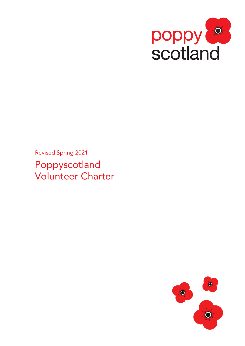

Revised Spring 2021 Poppyscotland Volunteer Charter

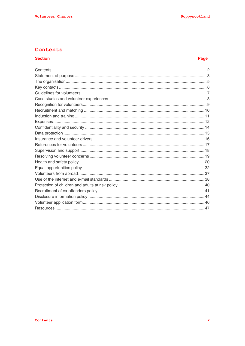# Contents

## **Section**

# Page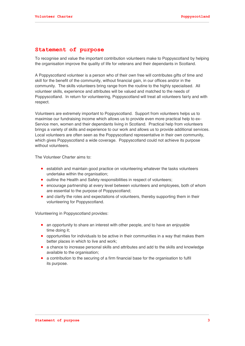# **Statement of purpose**

To recognise and value the important contribution volunteers make to Poppyscotland by helping the organisation improve the quality of life for veterans and their dependants in Scotland.

A Poppyscotland volunteer is a person who of their own free will contributes gifts of time and skill for the benefit of the community, without financial gain, in our offices and/or in the community. The skills volunteers bring range from the routine to the highly specialised. All volunteer skills, experience and attributes will be valued and matched to the needs of Poppyscotland. In return for volunteering, Poppyscotland will treat all volunteers fairly and with respect.

Volunteers are extremely important to Poppyscotland. Support from volunteers helps us to maximise our fundraising income which allows us to provide even more practical help to ex-Service men, women and their dependants living in Scotland. Practical help from volunteers brings a variety of skills and experience to our work and allows us to provide additional services. Local volunteers are often seen as the Poppyscotland representative in their own community, which gives Poppyscotland a wide coverage. Poppyscotland could not achieve its purpose without volunteers.

The Volunteer Charter aims to:

- establish and maintain good practice on volunteering whatever the tasks volunteers undertake within the organisation;
- outline the Health and Safety responsibilities in respect of volunteers;
- encourage partnership at every level between volunteers and employees, both of whom are essential to the purpose of Poppyscotland;
- and clarify the roles and expectations of volunteers, thereby supporting them in their volunteering for Poppyscotland.

Volunteering in Poppyscotland provides:

- an opportunity to share an interest with other people, and to have an enjoyable time doing it;
- opportunities for individuals to be active in their communities in a way that makes them better places in which to live and work;
- a chance to increase personal skills and attributes and add to the skills and knowledge available to the organisation;
- a contribution to the securing of a firm financial base for the organisation to fulfil its purpose.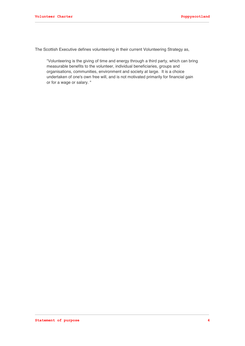The Scottish Executive defines volunteering in their current Volunteering Strategy as,

"Volunteering is the giving of time and energy through a third party, which can bring measurable benefits to the volunteer, individual beneficiaries, groups and organisations, communities, environment and society at large. It is a choice undertaken of one's own free will, and is not motivated primarily for financial gain or for a wage or salary. "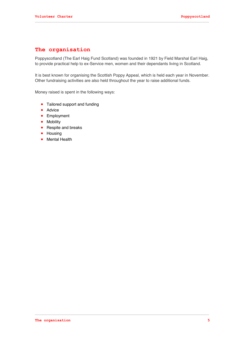# **The organisation**

Poppyscotland (The Earl Haig Fund Scotland) was founded in 1921 by Field Marshal Earl Haig, to provide practical help to ex-Service men, women and their dependants living in Scotland.

It is best known for organising the Scottish Poppy Appeal, which is held each year in November. Other fundraising activities are also held throughout the year to raise additional funds.

Money raised is spent in the following ways:

- Tailored support and funding
- Advice
- **•** Employment
- **•** Mobility
- Respite and breaks
- Housing
- **•** Mental Health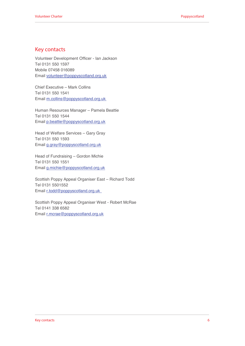# **Key contacts**

Volunteer Development Officer - Ian Jackson Tel 0131 550 1597 Mobile 07458 016089 Email volunteer@poppyscotland.org.uk

Chief Executive – Mark Collins Tel 0131 550 1541 Email m.collins@poppyscotland.org.uk

Human Resources Manager – Pamela Beattie Tel 0131 550 1544 Email p.beattie@poppyscotland.org.uk

Head of Welfare Services – Gary Gray Tel 0131 550 1593 Email g.gray@poppyscotland.org.uk

Head of Fundraising – Gordon Michie Tel 0131 550 1551 Email g.michie@poppyscotland.org.uk

Scottish Poppy Appeal Organiser East – Richard Todd Tel 0131 5501552 Email r.todd@poppyscotland.org.uk

Scottish Poppy Appeal Organiser West - Robert McRae Tel 0141 338 6582 Email r.mcrae@poppyscotland.org.uk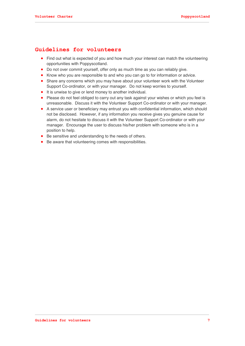# **Guidelines for volunteers**

- Find out what is expected of you and how much your interest can match the volunteering opportunities with Poppyscotland.
- Do not over commit yourself, offer only as much time as you can reliably give.
- Know who you are responsible to and who you can go to for information or advice.
- Share any concerns which you may have about your volunteer work with the Volunteer Support Co-ordinator, or with your manager. Do not keep worries to yourself.
- It is unwise to give or lend money to another individual.
- Please do not feel obliged to carry out any task against your wishes or which you feel is unreasonable. Discuss it with the Volunteer Support Co-ordinator or with your manager.
- A service user or beneficiary may entrust you with confidential information, which should not be disclosed. However, if any information you receive gives you genuine cause for alarm, do not hesitate to discuss it with the Volunteer Support Co-ordinator or with your manager. Encourage the user to discuss his/her problem with someone who is in a position to help.
- Be sensitive and understanding to the needs of others.
- Be aware that volunteering comes with responsibilities.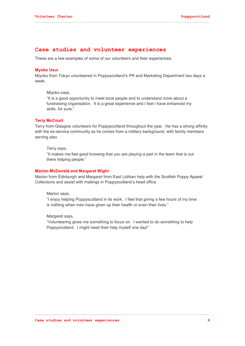## **Case studies and volunteer experiences**

These are a few examples of some of our volunteers and their experiences.

## **Myoko Usui**

Miyoko from Tokyo volunteered in Poppyscotland's PR and Marketing Department two days a week.

Miyoko says,

"It is a good opportunity to meet local people and to understand more about a fundraising organisation. It is a great experience and I feel I have enhanced my skills, for sure."

#### **Terry McCourt**

Terry from Glasgow volunteers for Poppyscotland throughout the year. He has a strong affinity with the ex-service community as he comes from a military background, with family members serving also.

Terry says,

"It makes me feel good knowing that you are playing a part in the team that is out there helping people."

#### **Marion McDonald and Margaret Wight**

Marion from Edinburgh and Margaret from East Lothian help with the Scottish Poppy Appeal Collections and assist with mailings in Poppyscotland's head office.

Marion says,

"I enjoy helping Poppyscotland in its work. I feel that giving a few hours of my time is nothing when men have given up their health or even their lives."

Margaret says,

"Volunteering gives me something to focus on. I wanted to do something to help Poppyscotland. I might need their help myself one day!"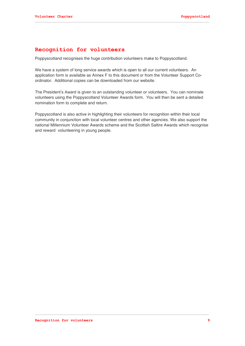# **Recognition for volunteers**

Poppyscotland recognises the huge contribution volunteers make to Poppyscotland.

We have a system of long service awards which is open to all our current volunteers. An application form is available as Annex F to this document or from the Volunteer Support Coordinator. Additional copies can be downloaded from our website.

The President's Award is given to an outstanding volunteer or volunteers. You can nominate volunteers using the Poppyscotland Volunteer Awards form. You will then be sent a detailed nomination form to complete and return.

Poppyscotland is also active in highlighting their volunteers for recognition within their local community in conjunction with local volunteer centres and other agencies. We also support the national Millennium Volunteer Awards scheme and the Scottish Saltire Awards which recognise and reward volunteering in young people.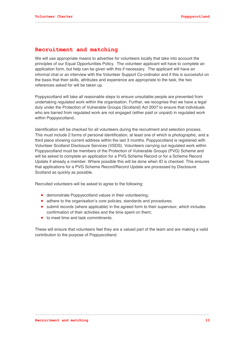# **Recruitment and matching**

We will use appropriate means to advertise for volunteers locally that take into account the principles of our Equal Opportunities Policy. The volunteer applicant will have to complete an application form, but help can be given with this if necessary. The applicant will have an informal chat or an interview with the Volunteer Support Co-ordinator and if this is successful on the basis that their skills, attributes and experience are appropriate to the task, the two references asked for will be taken up.

Poppyscotland will take all reasonable steps to ensure unsuitable people are prevented from undertaking regulated work within the organisation. Further, we recognise that we have a legal duty under the Protection of Vulnerable Groups (Scotland) Act 2007 to ensure that individuals who are barred from regulated work are not engaged (either paid or unpaid) in regulated work within Poppyscotland*.*

Identification will be checked for all volunteers during the recruitment and selection process. This must include 2 forms of personal identification, at least one of which is photographic, and a third piece showing current address within the last 3 months. Poppyscotland is registered with Volunteer Scotland Disclosure Services (VSDS). Volunteers carrying out regulated work within Poppyscotland must be members of the Protection of Vulnerable Groups (PVG) Scheme and will be asked to complete an application for a PVG Scheme Record or for a Scheme Record Update if already a member. Where possible this will be done when ID is checked. This ensures that applications for a PVG Scheme Record/Record Update are processed by Disclosure Scotland as quickly as possible.

Recruited volunteers will be asked to agree to the following:

- demonstrate Poppyscotland values in their volunteering;
- adhere to the organisation's core policies, standards and procedures;
- submit records (where applicable) in the agreed form to their supervisor, which includes confirmation of their activities and the time spent on them;
- to meet time and task commitments.

These will ensure that volunteers feel they are a valued part of the team and are making a valid contribution to the purpose of Poppyscotland.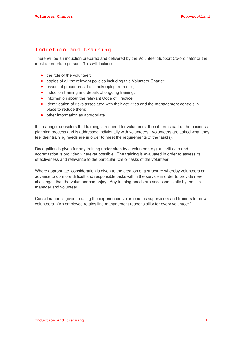# **Induction and training**

There will be an induction prepared and delivered by the Volunteer Support Co-ordinator or the most appropriate person. This will include:

- the role of the volunteer:
- copies of all the relevant policies including this Volunteer Charter;
- **e** essential procedures, i.e. timekeeping, rota etc.;
- induction training and details of ongoing training;
- information about the relevant Code of Practice;
- identification of risks associated with their activities and the management controls in place to reduce them;
- other information as appropriate.

If a manager considers that training is required for volunteers, then it forms part of the business planning process and is addressed individually with volunteers. Volunteers are asked what they feel their training needs are in order to meet the requirements of the task(s).

Recognition is given for any training undertaken by a volunteer, e.g. a certificate and accreditation is provided wherever possible. The training is evaluated in order to assess its effectiveness and relevance to the particular role or tasks of the volunteer.

Where appropriate, consideration is given to the creation of a structure whereby volunteers can advance to do more difficult and responsible tasks within the service in order to provide new challenges that the volunteer can enjoy. Any training needs are assessed jointly by the line manager and volunteer.

Consideration is given to using the experienced volunteers as supervisors and trainers for new volunteers. (An employee retains line management responsibility for every volunteer.)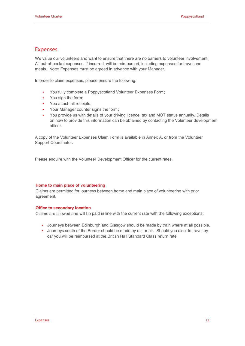# **Expenses**

We value our volunteers and want to ensure that there are no barriers to volunteer involvement. All out-of-pocket expenses, if incurred, will be reimbursed, including expenses for travel and meals. Note: Expenses must be agreed in advance with your Manager.

In order to claim expenses, please ensure the following:

- You fully complete <sup>a</sup> Poppyscotland Volunteer Expenses Form;
- You sign the form:
- You attach all receipts;
- Your Manager counter signs the form;
- You provide us with details of your driving licence, tax and MOT status annually. Details on how to provide this information can be obtained by contacting the Volunteer development officer.

A copy of the Volunteer Expenses Claim Form is available in Annex A, or from the Volunteer Support Coordinator.

Please enquire with the Volunteer Development Officer for the current rates.

#### **Home to main place of volunteering**

Claims are permitted for journeys between home and main place of volunteering with prior agreement.

#### **Office to secondary location**

Claims are allowed and will be paid in line with the current rate with the following exceptions:

- Journeys between Edinburgh and Glasgow should be made by train where at all possible.
- Journeys south of the Border should be made by rail or air. Should you elect to travel by car you will be reimbursed at the British Rail Standard Class return rate.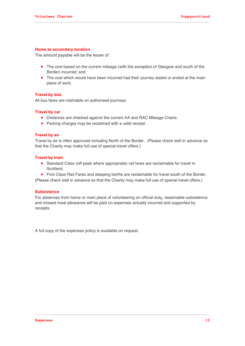### **Home to secondary location**

The amount payable will be the lesser of:

- The cost based on the current mileage (with the exception of Glasgow and south of the Border) incurred; and
- The cost which would have been incurred had their journey stated or ended at the main place of work.

#### **Travel by bus**

All bus fares are claimable on authorised journeys.

### **Travel by car**

- Distances are checked against the current AA and RAC Mileage Charts.
- Parking charges may be reclaimed with a valid receipt.

#### **Travel by air**

Travel by air is often approved including North of the Border. (Please check well in advance so that the Charity may make full use of special travel offers.)

#### **Travel by train**

 Standard Class (off peak where appropriate) rail fares are reclaimable for travel in Scotland.

 First Class Rail Fares and sleeping berths are reclaimable for travel south of the Border. (Please check well in advance so that the Charity may make full use of special travel offers.)

#### **Subsistence**

For absences from home or main place of volunteering on official duty, reasonable subsistence and missed meal allowance will be paid on expenses actually incurred and supported by receipts.

A full copy of the expenses policy is available on request.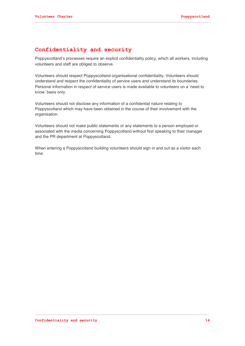# **Confidentiality and security**

Poppyscotland's processes require an explicit confidentiality policy, which all workers, including volunteers and staff are obliged to observe.

Volunteers should respect Poppyscotland organisational confidentiality. Volunteers should understand and respect the confidentiality of service users and understand its boundaries. Personal information in respect of service users is made available to volunteers on a 'need to know' basis only.

Volunteers should not disclose any information of a confidential nature relating to Poppyscotland which may have been obtained in the course of their involvement with the organisation.

Volunteers should not make public statements or any statements to a person employed or associated with the media concerning Poppyscotland without first speaking to their manager and the PR department at Poppyscotland.

When entering a Poppyscotland building volunteers should sign in and out as a visitor each time.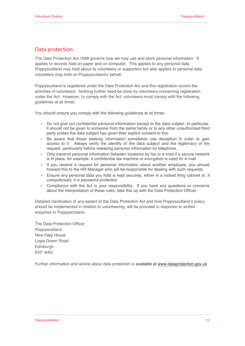# **Data protection**

The Data Protection Act 1998 governs how we may use and store personal information. It applies to records held on paper and on computer. This applies to any personal data Poppyscotland may hold about its volunteers or supporters but also applies to personal data volunteers may hold on Poppyscotland's behalf.

Poppyscotland is registered under the Data Protection Act and this registration covers the activities of volunteers. Nothing further need be done by volunteers concerning registration under the Act. However, to comply with the Act, volunteers must comply with the following guidelines at all times:

You should ensure you comply with the following guidelines at all times:

- Do not give out confidential personal information except to the data subject. In particular, it should not be given to someone from the same family or to any other unauthorised third party unless the data subject has given their explicit consent to this.
- Be aware that those seeking information sometimes use deception in order to gain access to it. Always verify the identity of the data subject and the legitimacy of the request, particularly before releasing personal information by telephone.
- Only transmit personal information between locations by fax or e-mail if a secure network is in place, for example, a confidential fax machine or encryption is used for e-mail
- If you receive a request for personal information about another employee, you should forward this to the HR Manager who will be responsible for dealing with such requests.
- Ensure any personal data you hold is kept securely, either in a locked filing cabinet or, if computerised, it is password protected.
- Compliance with the Act is your responsibility. If you have any questions or concerns about the interpretation of these rules, take this up with the Data Protection Officer.

Detailed clarification of any aspect of the Data Protection Act and how Poppyscotland's policy should be implemented in relation to volunteering, will be provided in response to written enquiries to Poppyscotland.

The Data Protection Officer Poppyscotland New Haig House Logie Green Road **Edinburgh** EH7 4HQ

Further information and advice about data protection is available at www.dataprotection.gov.uk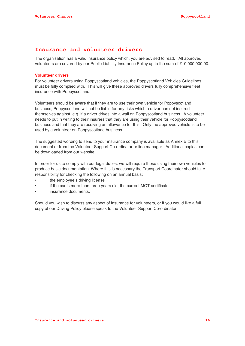# **Insurance and volunteer drivers**

The organisation has a valid insurance policy which, you are advised to read. All approved volunteers are covered by our Public Liability Insurance Policy up to the sum of £10,000,000.00.

### **Volunteer drivers**

For volunteer drivers using Poppyscotland vehicles, the Poppyscotland Vehicles Guidelines must be fully complied with. This will give these approved drivers fully comprehensive fleet insurance with Poppyscotland.

Volunteers should be aware that if they are to use their own vehicle for Poppyscotland business, Poppyscotland will not be liable for any risks which a driver has not insured themselves against, e.g. if a driver drives into a wall on Poppyscotland business. A volunteer needs to put in writing to their insurers that they are using their vehicle for Poppyscotland business and that they are receiving an allowance for this. Only the approved vehicle is to be used by a volunteer on Poppyscotland business.

The suggested wording to send to your insurance company is available as Annex B to this document or from the Volunteer Support Co-ordinator or line manager. Additional copies can be downloaded from our website.

In order for us to comply with our legal duties, we will require those using their own vehicles to produce basic documentation. Where this is necessary the Transport Coordinator should take responsibility for checking the following on an annual basis:

- the employee's driving license
- if the car is more than three years old, the current MOT certificate
- insurance documents.

Should you wish to discuss any aspect of insurance for volunteers, or if you would like a full copy of our Driving Policy please speak to the Volunteer Support Co-ordinator.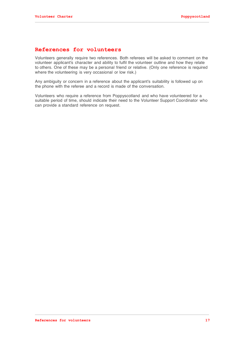# **References for volunteers**

Volunteers generally require two references. Both referees will be asked to comment on the volunteer applicant's character and ability to fulfil the volunteer outline and how they relate to others. One of these may be a personal friend or relative. (Only one reference is required where the volunteering is very occasional or low risk.)

Any ambiguity or concern in a reference about the applicant's suitability is followed up on the phone with the referee and a record is made of the conversation.

Volunteers who require a reference from Poppyscotland and who have volunteered for a suitable period of time, should indicate their need to the Volunteer Support Coordinator who can provide a standard reference on request.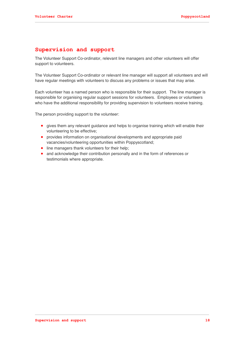# **Supervision and support**

The Volunteer Support Co-ordinator, relevant line managers and other volunteers will offer support to volunteers.

The Volunteer Support Co-ordinator or relevant line manager will support all volunteers and will have regular meetings with volunteers to discuss any problems or issues that may arise.

Each volunteer has a named person who is responsible for their support. The line manager is responsible for organising regular support sessions for volunteers. Employees or volunteers who have the additional responsibility for providing supervision to volunteers receive training.

The person providing support to the volunteer:

- gives them any relevant guidance and helps to organise training which will enable their volunteering to be effective;
- provides information on organisational developments and appropriate paid vacancies/volunteering opportunities within Poppyscotland;
- line managers thank volunteers for their help;
- and acknowledge their contribution personally and in the form of references or testimonials where appropriate.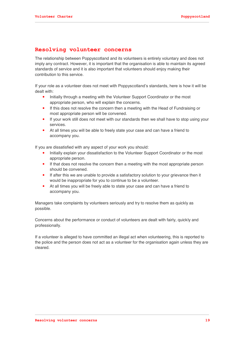# **Resolving volunteer concerns**

The relationship between Poppyscotland and its volunteers is entirely voluntary and does not imply any contract. However, it is important that the organisation is able to maintain its agreed standards of service and it is also important that volunteers should enjoy making their contribution to this service.

If your role as a volunteer does not meet with Poppyscotland's standards, here is how it will be dealt with:

- Initially through a meeting with the Volunteer Support Coordinator or the most appropriate person, who will explain the concerns.
- If this does not resolve the concern then a meeting with the Head of Fundraising or most appropriate person will be convened.
- If your work still does not meet with our standards then we shall have to stop using your services.
- At all times you will be able to freely state your case and can have a friend to accompany you.

If you are dissatisfied with any aspect of your work you should:

- Initially explain your dissatisfaction to the Volunteer Support Coordinator or the most appropriate person.
- If that does not resolve the concern then a meeting with the most appropriate person should be convened.
- If after this we are unable to provide a satisfactory solution to your grievance then it would be inappropriate for you to continue to be a volunteer.
- At all times you will be freely able to state your case and can have a friend to accompany you.

Managers take complaints by volunteers seriously and try to resolve them as quickly as possible.

Concerns about the performance or conduct of volunteers are dealt with fairly, quickly and professionally.

If a volunteer is alleged to have committed an illegal act when volunteering, this is reported to the police and the person does not act as a volunteer for the organisation again unless they are cleared.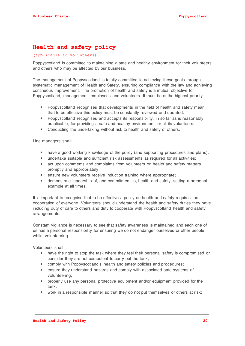# **Health and safety policy**

## (applicable to volunteers)

Poppyscotland is committed to maintaining a safe and healthy environment for their volunteers and others who may be affected by our business.

The management of Poppyscotland is totally committed to achieving these goals through systematic management of Health and Safety, ensuring compliance with the law and achieving continuous improvement. The promotion of health and safety is a mutual objective for Poppyscotland, management, employees and volunteers. It must be of the highest priority.

- Poppyscotland recognises that developments in the field of health and safety mean that to be effective this policy must be constantly reviewed and updated.
- Poppyscotland recognises and accepts its responsibility, in so far as is reasonably practicable, for providing a safe and healthy environment for all its volunteers.
- Conducting the undertaking without risk to health and safety of others.

Line managers shall:

- have a good working knowledge of the policy (and supporting procedures and plans);
- undertake suitable and sufficient risk assessments as required for all activities;
- act upon comments and complaints from volunteers on health and safety matters promptly and appropriately;
- ensure new volunteers receive induction training where appropriate;
- demonstrate leadership of, and commitment to, health and safety, setting a personal example at all times.

It is important to recognise that to be effective a policy on health and safety requires the cooperation of everyone. Volunteers should understand the health and safety duties they have including duty of care to others and duty to cooperate with Poppyscotland health and safety arrangements.

Constant vigilance is necessary to see that safety awareness is maintained and each one of us has a personal responsibility for ensuring we do not endanger ourselves or other people whilst volunteering.

Volunteers shall:

- have the right to stop the task where they feel their personal safety is compromised or consider they are not competent to carry out the task;
- comply with Poppyscotland's health and safety policies and procedures;
- ensure they understand hazards and comply with associated safe systems of volunteering;
- properly use any personal protective equipment and/or equipment provided for the task;
- work in a responsible manner so that they do not put themselves or others at risk;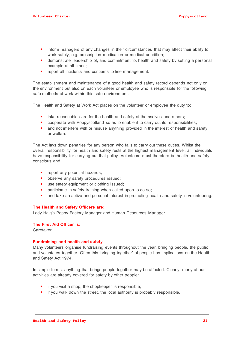- inform managers of any changes in their circumstances that may affect their ability to work safely, e.g. prescription medication or medical condition;
- demonstrate leadership of, and commitment to, health and safety by setting a personal example at all times;
- report all incidents and concerns to line management.

The establishment and maintenance of a good health and safety record depends not only on the environment but also on each volunteer or employee who is responsible for the following safe methods of work within this safe environment.

The Health and Safety at Work Act places on the volunteer or employee the duty to:

- take reasonable care for the health and safety of themselves and others;
- cooperate with Poppyscotland so as to enable it to carry out its responsibilities;
- and not interfere with or misuse anything provided in the interest of health and safety or welfare.

The Act lays down penalties for any person who fails to carry out these duties. Whilst the overall responsibility for health and safety rests at the highest management level, all individuals have responsibility for carrying out that policy. Volunteers must therefore be health and safety conscious and:

- report any potential hazards;
- observe any safety procedures issued;
- use safety equipment or clothing issued;
- participate in safety training when called upon to do so;
- and take an active and personal interest in promoting health and safety in volunteering.

#### **The Health and Safety Officers are:**

Lady Haig's Poppy Factory Manager and Human Resources Manager

### **The First Aid Officer is:**

Caretaker

#### **Fundraising and health and safety**

Many volunteers organise fundraising events throughout the year, bringing people, the public and volunteers together. Often this 'bringing together' of people has implications on the Health and Safety Act 1974.

In simple terms, anything that brings people together may be affected. Clearly, many of our activities are already covered for safety by other people:

- if you visit a shop, the shopkeeper is responsible;
- if you walk down the street, the local authority is probably responsible.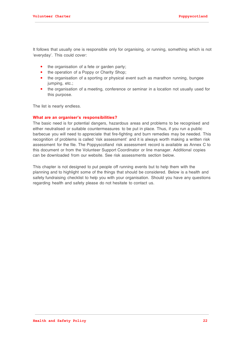It follows that usually one is responsible only for organising, or running, something which is not 'everyday'. This could cover:

- the organisation of a fete or garden party;
- the operation of a Poppy or Charity Shop;
- the organisation of a sporting or physical event such as marathon running, bungee jumping, etc.;
- the organisation of a meeting, conference or seminar in a location not usually used for this purpose.

The list is nearly endless.

#### **What are an organiser's responsibilities?**

The basic need is for potential dangers, hazardous areas and problems to be recognised and either neutralised or suitable countermeasures to be put in place. Thus, if you run a public barbecue you will need to appreciate that fire-fighting and burn remedies may be needed. This recognition of problems is called 'risk assessment' and it is always worth making a written risk assessment for the file. The Poppyscotland risk assessment record is available as Annex C to this document or from the Volunteer Support Coordinator or line manager. Additional copies can be downloaded from our website. See risk assessments section below.

This chapter is not designed to put people off running events but to help them with the planning and to highlight some of the things that should be considered. Below is a health and safety fundraising checklist to help you with your organisation. Should you have any questions regarding health and safety please do not hesitate to contact us.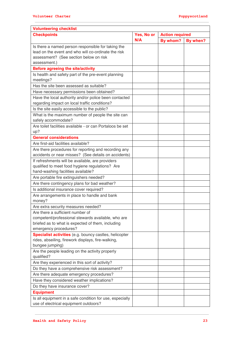| <b>Volunteering checklist</b>                                                         |            |                        |          |  |  |  |
|---------------------------------------------------------------------------------------|------------|------------------------|----------|--|--|--|
| <b>Checkpoints</b>                                                                    | Yes, No or | <b>Action required</b> |          |  |  |  |
|                                                                                       | N/A        | By whom?               | By when? |  |  |  |
| Is there a named person responsible for taking the                                    |            |                        |          |  |  |  |
| lead on the event and who will co-ordinate the risk                                   |            |                        |          |  |  |  |
| assessment? (See section below on risk                                                |            |                        |          |  |  |  |
| assessment.)                                                                          |            |                        |          |  |  |  |
| <b>Before agreeing the site/activity</b>                                              |            |                        |          |  |  |  |
| Is health and safety part of the pre-event planning<br>meetings?                      |            |                        |          |  |  |  |
| Has the site been assessed as suitable?                                               |            |                        |          |  |  |  |
| Have necessary permissions been obtained?                                             |            |                        |          |  |  |  |
| Have the local authority and/or police been contacted                                 |            |                        |          |  |  |  |
| regarding impact on local traffic conditions?                                         |            |                        |          |  |  |  |
| Is the site easily accessible to the public?                                          |            |                        |          |  |  |  |
| What is the maximum number of people the site can                                     |            |                        |          |  |  |  |
| safely accommodate?                                                                   |            |                        |          |  |  |  |
| Are toilet facilities available - or can Portaloos be set                             |            |                        |          |  |  |  |
| up?                                                                                   |            |                        |          |  |  |  |
| <b>General considerations</b>                                                         |            |                        |          |  |  |  |
| Are first-aid facilities available?                                                   |            |                        |          |  |  |  |
| Are there procedures for reporting and recording any                                  |            |                        |          |  |  |  |
| accidents or near misses? (See details on accidents)                                  |            |                        |          |  |  |  |
| If refreshments will be available, are providers                                      |            |                        |          |  |  |  |
| qualified to meet food hygiene regulations? Are<br>hand-washing facilities available? |            |                        |          |  |  |  |
| Are portable fire extinguishers needed?                                               |            |                        |          |  |  |  |
| Are there contingency plans for bad weather?                                          |            |                        |          |  |  |  |
| Is additional insurance cover required?                                               |            |                        |          |  |  |  |
| Are arrangements in place to handle and bank                                          |            |                        |          |  |  |  |
| money?                                                                                |            |                        |          |  |  |  |
| Are extra security measures needed?                                                   |            |                        |          |  |  |  |
| Are there a sufficient number of                                                      |            |                        |          |  |  |  |
| competent/professional stewards available, who are                                    |            |                        |          |  |  |  |
| briefed as to what is expected of them, including                                     |            |                        |          |  |  |  |
| emergency procedures?                                                                 |            |                        |          |  |  |  |
| Specialist activities (e.g. bouncy castles, helicopter                                |            |                        |          |  |  |  |
| rides, abseiling, firework displays, fire-walking,<br>bungee jumping)                 |            |                        |          |  |  |  |
| Are the people leading on the activity properly                                       |            |                        |          |  |  |  |
| qualified?                                                                            |            |                        |          |  |  |  |
| Are they experienced in this sort of activity?                                        |            |                        |          |  |  |  |
| Do they have a comprehensive risk assessment?                                         |            |                        |          |  |  |  |
| Are there adequate emergency procedures?                                              |            |                        |          |  |  |  |
| Have they considered weather implications?                                            |            |                        |          |  |  |  |
| Do they have insurance cover?                                                         |            |                        |          |  |  |  |
| <b>Equipment</b>                                                                      |            |                        |          |  |  |  |
| Is all equipment in a safe condition for use, especially                              |            |                        |          |  |  |  |
| use of electrical equipment outdoors?                                                 |            |                        |          |  |  |  |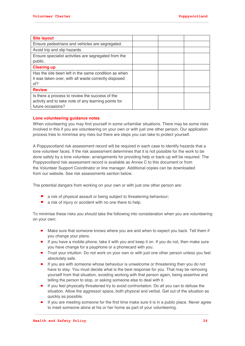| <b>Site layout</b>                                   |  |  |
|------------------------------------------------------|--|--|
| Ensure pedestrians and vehicles are segregated.      |  |  |
| Avoid trip and slip hazards.                         |  |  |
| Ensure specialist activities are segregated from the |  |  |
| public.                                              |  |  |
| <b>Clearing up</b>                                   |  |  |
| Has the site been left in the same condition as when |  |  |
| it was taken over, with all waste correctly disposed |  |  |
| of?                                                  |  |  |
| <b>Review</b>                                        |  |  |
| Is there a process to review the success of the      |  |  |
| activity and to take note of any learning points for |  |  |
| future occasions?                                    |  |  |

### **Lone volunteering guidance notes**

When volunteering you may find yourself in some unfamiliar situations. There may be some risks involved in this if you are volunteering on your own or with just one other person. Our application process tries to minimise any risks but there are steps you can take to protect yourself.

A Poppyscotland risk assessment record will be required in each case to identify hazards that a lone volunteer faces. If the risk assessment determines that it is not possible for the work to be done safely by a lone volunteer, arrangements for providing help or back-up will be required. The Poppyscotland risk assessment record is available as Annex C to this document or from the Volunteer Support Coordinator or line manager. Additional copies can be downloaded from our website. See risk assessments section below.

The potential dangers from working on your own or with just one other person are:

- a risk of physical assault or being subject to threatening behaviour;
- a risk of injury or accident with no one there to help.

To minimise these risks you should take the following into consideration when you are volunteering on your own:

- Make sure that someone knows where you are and when to expect you back. Tell them if you change your plans.
- $\bullet$  If you have a mobile phone, take it with you and keep it on. If you do not, then make sure you have change for a payphone or a phonecard with you.
- Trust your intuition. Do not work on your own or with just one other person unless you feel absolutely safe.
- If you are with someone whose behaviour is unwelcome or threatening then you do not have to stay. You must decide what is the best response for you. That may be removing yourself from that situation, avoiding working with that person again, being assertive and telling the person to stop, or asking someone else to deal with it.
- If you feel physically threatened try to avoid confrontation. Do all you can to defuse the situation. Allow the aggressor space, both physical and verbal. Get out of the situation as quickly as possible.
- If you are meeting someone for the first time make sure it is in a public place. Never agree to meet someone alone at his or her home as part of your volunteering.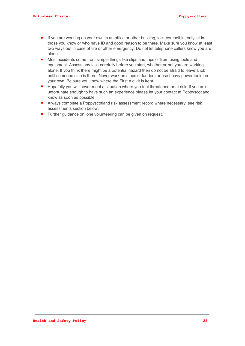- If you are working on your own in an office or other building, lock yourself in, only let in those you know or who have ID and good reason to be there. Make sure you know at least two ways out in case of fire or other emergency. Do not let telephone callers know you are alone.
- Most accidents come from simple things like slips and trips or from using tools and equipment. Assess any task carefully before you start, whether or not you are working alone. If you think there might be a potential hazard then do not be afraid to leave a job until someone else is there. Never work on steps or ladders or use heavy power tools on your own. Be sure you know where the First Aid kit is kept.
- Hopefully you will never meet a situation where you feel threatened or at risk. If you are unfortunate enough to have such an experience please let your contact at Poppyscotland know as soon as possible.
- Always complete a Poppyscotland risk assessment record where necessary, see risk assessments section below.
- Further guidance on lone volunteering can be given on request.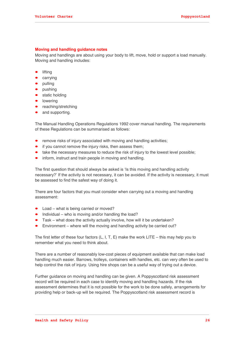### **Moving and handling guidance notes**

Moving and handlings are about using your body to lift, move, hold or support a load manually. Moving and handling includes:

- lifting
- carrying
- pulling
- pushing
- static holding
- lowering
- reaching/stretching
- and supporting.

The Manual Handling Operations Regulations 1992 cover manual handling. The requirements of these Regulations can be summarised as follows:

- remove risks of injury associated with moving and handling activities;
- if you cannot remove the injury risks, then assess them;
- take the necessary measures to reduce the risk of injury to the lowest level possible;
- inform, instruct and train people in moving and handling.

The first question that should always be asked is 'Is this moving and handling activity necessary?' If the activity is not necessary, it can be avoided. If the activity is necessary, it must be assessed to find the safest way of doing it.

There are four factors that you must consider when carrying out a moving and handling assessment:

- Load what is being carried or moved?
- $\bullet$  Individual who is moving and/or handling the load?
- Task what does the activity actually involve, how will it be undertaken?
- Environment where will the moving and handling activity be carried out?

The first letter of these four factors  $(L, I, T, E)$  make the work LITE – this may help you to remember what you need to think about.

There are a number of reasonably low-cost pieces of equipment available that can make load handling much easier. Barrows, trolleys, containers with handles, etc. can very often be used to help control the risk of injury. Using hire shops can be a useful way of trying out a device.

Further guidance on moving and handling can be given. A Poppyscotland risk assessment record will be required in each case to identify moving and handling hazards. If the risk assessment determines that it is not possible for the work to be done safely, arrangements for providing help or back-up will be required. The Poppyscotland risk assessment record is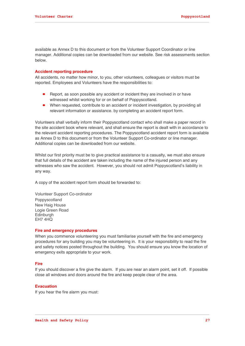available as Annex D to this document or from the Volunteer Support Coordinator or line manager. Additional copies can be downloaded from our website. See risk assessments section below.

#### **Accident reporting procedure**

All accidents, no matter how minor, to you, other volunteers, colleagues or visitors must be reported. Employees and Volunteers have the responsibilities to:

- Report, as soon possible any accident or incident they are involved in or have witnessed whilst working for or on behalf of Poppyscotland.
- When requested, contribute to an accident or incident investigation, by providing all relevant information or assistance. by completing an accident report form.

Volunteers shall verbally inform their Poppyscotland contact who shall make a paper record in the site accident book where relevant, and shall ensure the report is dealt with in accordance to the relevant accident reporting procedures. The Poppyscotland accident report form is available as Annex D to this document or from the Volunteer Support Co-ordinator or line manager. Additional copies can be downloaded from our website.

Whilst our first priority must be to give practical assistance to a casualty, we must also ensure that full details of the accident are taken including the name of the injured person and any witnesses who saw the accident. However, you should not admit Poppyscotland's liability in any way.

A copy of the accident report form should be forwarded to:

Volunteer Support Co-ordinator Poppyscotland New Haig House Logie Green Road **Edinburgh** EH7 4HQ

#### **Fire and emergency procedures**

When you commence volunteering you must familiarise yourself with the fire and emergency procedures for any building you may be volunteering in. It is your responsibility to read the fire and safety notices posted throughout the building. You should ensure you know the location of emergency exits appropriate to your work.

#### **Fire**

If you should discover a fire give the alarm. If you are near an alarm point, set it off. If possible close all windows and doors around the fire and keep people clear of the area.

#### **Evacuation**

If you hear the fire alarm you must: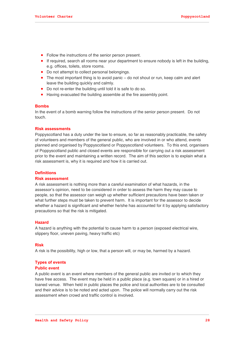- Follow the instructions of the senior person present.
- If required, search all rooms near your department to ensure nobody is left in the building, e.g. offices, toilets, store rooms.
- Do not attempt to collect personal belongings.
- The most important thing is to avoid panic do not shout or run, keep calm and alert leave the building quickly and calmly.
- Do not re-enter the building until told it is safe to do so.
- Having evacuated the building assemble at the fire assembly point.

### **Bombs**

In the event of a bomb warning follow the instructions of the senior person present. Do not touch.

#### **Risk assessments**

Poppyscotland has a duty under the law to ensure, so far as reasonably practicable, the safety of volunteers and members of the general public, who are involved in or who attend, events planned and organised by Poppyscotland or Poppyscotland volunteers. To this end, organisers of Poppyscotland public and closed events are responsible for carrying out a risk assessment prior to the event and maintaining a written record. The aim of this section is to explain what a risk assessment is, why it is required and how it is carried out.

#### **Definitions**

#### **Risk assessment**

A risk assessment is nothing more than a careful examination of what hazards, in the assessor's opinion, need to be considered in order to assess the harm they may cause to people, so that the assessor can weigh up whether sufficient precautions have been taken or what further steps must be taken to prevent harm. It is important for the assessor to decide whether a hazard is significant and whether he/she has accounted for it by applying satisfactory precautions so that the risk is mitigated.

#### **Hazard**

A hazard is anything with the potential to cause harm to a person (exposed electrical wire, slippery floor, uneven paving, heavy traffic etc)

#### **Risk**

A risk is the possibility, high or low, that a person will, or may be, harmed by a hazard.

#### **Types of events**

#### **Public event**

A public event is an event where members of the general public are invited or to which they have free access. The event may be held in a public place (e.g. town square) or in a hired or loaned venue. When held in public places the police and local authorities are to be consulted and their advice is to be noted and acted upon. The police will normally carry out the risk assessment when crowd and traffic control is involved.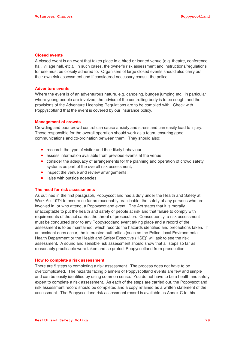### **Closed events**

A closed event is an event that takes place in a hired or loaned venue (e.g. theatre, conference hall, village hall, etc.). In such cases, the owner's risk assessment and instructions/regulations for use must be closely adhered to. Organisers of large closed events should also carry out their own risk assessment and if considered necessary consult the police.

#### **Adventure events**

Where the event is of an adventurous nature, e.g. canoeing, bungee jumping etc., in particular where young people are involved, the advice of the controlling body is to be sought and the provisions of the Adventure Licensing Regulations are to be complied with. Check with Poppyscotland that the event is covered by our insurance policy.

### **Management of crowds**

Crowding and poor crowd control can cause anxiety and stress and can easily lead to injury. Those responsible for the overall operation should work as a team, ensuring good communications and co-ordination between them. They should also:

- research the type of visitor and their likely behaviour;
- assess information available from previous events at the venue;
- consider the adequacy of arrangements for the planning and operation of crowd safety systems as part of the overall risk assessment;
- inspect the venue and review arrangements;
- liaise with outside agencies.

#### **The need for risk assessments**

As outlined in the first paragraph, Poppyscotland has a duty under the Health and Safety at Work Act 1974 to ensure so far as reasonably practicable, the safety of any persons who are involved in, or who attend, a Poppyscotland event. The Act states that it is morally unacceptable to put the health and safety of people at risk and that failure to comply with requirements of the act carries the threat of prosecution. Consequently, a risk assessment must be conducted prior to any Poppyscotland event taking place and a record of the assessment is to be maintained, which records the hazards identified and precautions taken. If an accident does occur, the interested authorities (such as the Police, local Environmental Health Department or the Health and Safety Executive (HSE)) will ask to see the risk assessment. A sound and sensible risk assessment should show that all steps so far as reasonably practicable were taken and so protect Poppyscotland from prosecution.

#### **How to complete a risk assessment**

There are 5 steps to completing a risk assessment. The process does not have to be overcomplicated. The hazards facing planners of Poppyscotland events are few and simple and can be easily identified by using common sense. You do not have to be a health and safety expert to complete a risk assessment. As each of the steps are carried out, the Poppyscotland risk assessment record should be completed and a copy retained as a written statement of the assessment. The Poppyscotland risk assessment record is available as Annex C to this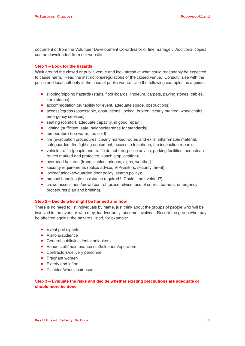document or from the Volunteer Development Co-ordinator or line manager. Additional copies can be downloaded from our website.

### **Step 1 – Look for the hazards**

Walk around the closed or public venue and look afresh at what could reasonably be expected to cause harm. Read the instructions/regulations of the closed venue. Consult/liaise with the police and local authority in the case of public venue. Use the following examples as a guide:

- slipping/tripping hazards (stairs, floor-boards, linoleum, carpets, paving stones, cables, kerb stones);
- accommodation (suitability for event, adequate space, obstructions);
- access/egress (assessable, obstructions, locked, broken, clearly marked, wheelchairs, emergency services);
- seating (comfort, adequate capacity, in good repair);
- **·** lighting (sufficient, safe, height/clearance for standards);
- temperature (too warm, too cold);
- fire (evacuation procedures, clearly marked routes and exits, inflammable material, safeguarded, fire fighting equipment, access to telephone, fire inspection report).
- vehicle traffic (people and traffic do not mix, police advice, parking facilities, pedestrian routes marked and protected, coach stop location);
- overhead hazards (trees, cables, bridges, signs, weather);
- security requirements (police advice, VIP/visitors, security threat);
- locked/unlocked/guarded door policy, search policy);
- manual handling (is assistance required? Could it be avoided?):
- crowd assessment/crowd control (police advice, use of correct barriers, emergency procedures plan and briefing).

#### **Step 2 – Decide who might be harmed and how**

There is no need to list individuals by name, just think about the groups of people who will be involved in the event or who may, inadvertently, become involved. Record the group who may be affected against the hazards listed, for example:

- Event participants
- Visitors/audience
- **•** General public/incidental onlookers
- Venue staff/maintenance staff/cleaners/operators
- Contractors/delivery personnel
- Pregnant women
- Elderly and infirm
- Disabled/wheelchair users

### **Step 3 – Evaluate the risks and decide whether existing precautions are adequate or should more be done**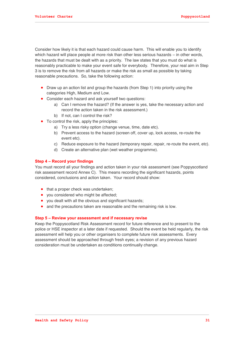Consider how likely it is that each hazard could cause harm. This will enable you to identify which hazard will place people at more risk than other less serious hazards – in other words, the hazards that must be dealt with as a priority. The law states that you must do what is reasonably practicable to make your event safe for everybody. Therefore, your real aim in Step 3 is to remove the risk from all hazards or make the risk as small as possible by taking reasonable precautions. So, take the following action:

- Draw up an action list and group the hazards (from Step 1) into priority using the categories High, Medium and Low.
- Consider each hazard and ask yourself two questions:
	- a) Can I remove the hazard? (If the answer is yes, take the necessary action and record the action taken in the risk assessment.)
	- b) If not, can I control the risk?
- To control the risk, apply the principles:
	- a) Try a less risky option (change venue, time, date etc).
	- b) Prevent access to the hazard (screen off, cover up, lock access, re-route the event etc).
	- c) Reduce exposure to the hazard (temporary repair, repair, re-route the event, etc).
	- d) Create an alternative plan (wet weather programme).

### **Step 4 – Record your findings**

You must record all your findings and action taken in your risk assessment (see Poppyscotland risk assessment record Annex C). This means recording the significant hazards, points considered, conclusions and action taken. Your record should show:

- that a proper check was undertaken;
- you considered who might be affected;
- you dealt with all the obvious and significant hazards;
- and the precautions taken are reasonable and the remaining risk is low.

### **Step 5 – Review your assessment and if necessary revise**

Keep the Poppyscotland Risk Assessment record for future reference and to present to the police or HSE inspector at a later date if requested. Should the event be held regularly, the risk assessment will help you or other organisers to complete future risk assessments. Every assessment should be approached through fresh eyes; a revision of any previous hazard consideration must be undertaken as conditions continually change.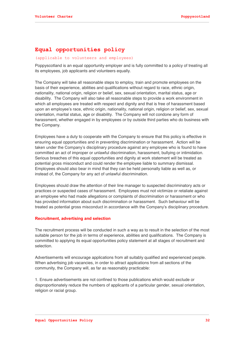# **Equal opportunities policy**

### (applicable to volunteers and employees)

Poppyscotland is an equal opportunity employer and is fully committed to a policy of treating all its employees, job applicants and volunteers equally.

The Company will take all reasonable steps to employ, train and promote employees on the basis of their experience, abilities and qualifications without regard to race, ethnic origin, nationality, national origin, religion or belief, sex, sexual orientation, marital status, age or disability. The Company will also take all reasonable steps to provide a work environment in which all employees are treated with respect and dignity and that is free of harassment based upon an employee's race, ethnic origin, nationality, national origin, religion or belief, sex, sexual orientation, marital status, age or disability. The Company will not condone any form of harassment, whether engaged in by employees or by outside third parties who do business with the Company.

Employees have a duty to cooperate with the Company to ensure that this policy is effective in ensuring equal opportunities and in preventing discrimination or harassment. Action will be taken under the Company's disciplinary procedure against any employee who is found to have committed an act of improper or unlawful discrimination, harassment, bullying or intimidation. Serious breaches of this equal opportunities and dignity at work statement will be treated as potential gross misconduct and could render the employee liable to summary dismissal. Employees should also bear in mind that they can be held personally liable as well as, or instead of, the Company for any act of unlawful discrimination.

Employees should draw the attention of their line manager to suspected discriminatory acts or practices or suspected cases of harassment. Employees must not victimize or retaliate against an employee who had made allegations or complaints of discrimination or harassment or who has provided information about such discrimination or harassment. Such behaviour will be treated as potential gross misconduct in accordance with the Company's disciplinary procedure.

### **Recruitment, advertising and selection**

The recruitment process will be conducted in such a way as to result in the selection of the most suitable person for the job in terms of experience, abilities and qualifications. The Company is committed to applying its equal opportunities policy statement at all stages of recruitment and selection.

Advertisements will encourage applications from all suitably qualified and experienced people. When advertising job vacancies, in order to attract applications from all sections of the community, the Company will, as far as reasonably practicable:

1. Ensure advertisements are not confined to those publications which would exclude or disproportionately reduce the numbers of applicants of a particular gender, sexual orientation, religion or racial group.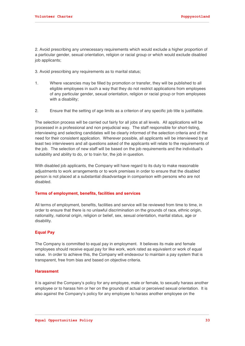2. Avoid prescribing any unnecessary requirements which would exclude a higher proportion of a particular gender, sexual orientation, religion or racial group or which would exclude disabled job applicants;

3. Avoid prescribing any requirements as to marital status;

- 1. Where vacancies may be filled by promotion or transfer, they will be published to all eligible employees in such a way that they do not restrict applications from employees of any particular gender, sexual orientation, religion or racial group or from employees with a disability;
- 2. Ensure that the setting of age limits as a criterion of any specific job title is justifiable.

The selection process will be carried out fairly for all jobs at all levels. All applications will be processed in a professional and non prejudicial way. The staff responsible for short-listing, interviewing and selecting candidates will be clearly informed of the selection criteria and of the need for their consistent application. Wherever possible, all applicants will be interviewed by at least two interviewers and all questions asked of the applicants will relate to the requirements of the job. The selection of new staff will be based on the job requirements and the individual's suitability and ability to do, or to train for, the job in question.

With disabled job applicants, the Company will have regard to its duty to make reasonable adjustments to work arrangements or to work premises in order to ensure that the disabled person is not placed at a substantial disadvantage in comparison with persons who are not disabled.

### **Terms of employment, benefits, facilities and services**

All terms of employment, benefits, facilities and service will be reviewed from time to time, in order to ensure that there is no unlawful discrimination on the grounds of race, ethnic origin, nationality, national origin, religion or belief, sex, sexual orientation, marital status, age or disability.

### **Equal Pay**

The Company is committed to equal pay in employment. It believes its male and female employees should receive equal pay for like work, work rated as equivalent or work of equal value. In order to achieve this, the Company will endeavour to maintain a pay system that is transparent, free from bias and based on objective criteria.

### **Harassment**

It is against the Company's policy for any employee, male or female, to sexually harass another employee or to harass him or her on the grounds of actual or perceived sexual orientation. It is also against the Company's policy for any employee to harass another employee on the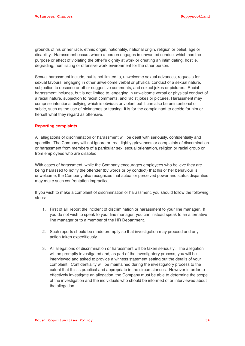grounds of his or her race, ethnic origin, nationality, national origin, religion or belief, age or disability. Harassment occurs where a person engages in unwanted conduct which has the purpose or effect of violating the other's dignity at work or creating an intimidating, hostile, degrading, humiliating or offensive work environment for the other person.

Sexual harassment include, but is not limited to, unwelcome sexual advances, requests for sexual favours, engaging in other unwelcome verbal or physical conduct of a sexual nature, subjection to obscene or other suggestive comments, and sexual jokes or pictures. Racial harassment includes, but is not limited to, engaging in unwelcome verbal or physical conduct of a racial nature, subjection to racist comments, and racist jokes or pictures. Harassment may comprise intentional bullying which is obvious or violent but it can also be unintentional or subtle, such as the use of nicknames or teasing. It is for the complainant to decide for him or herself what they regard as offensive.

### **Reporting complaints**

All allegations of discrimination or harassment will be dealt with seriously, confidentially and speedily. The Company will not ignore or treat lightly grievances or complaints of discrimination or harassment from members of a particular sex, sexual orientation, religion or racial group or from employees who are disabled.

With cases of harassment, while the Company encourages employees who believe they are being harassed to notify the offender (by words or by conduct) that his or her behaviour is unwelcome, the Company also recognizes that actual or perceived power and status disparities may make such confrontation impractical.

If you wish to make a complaint of discrimination or harassment, you should follow the following steps:

- 1. First of all, report the incident of discrimination or harassment to your line manager. If you do not wish to speak to your line manager, you can instead speak to an alternative line manager or to a member of the HR Department.
- 2. Such reports should be made promptly so that investigation may proceed and any action taken expeditiously.
- 3. All allegations of discrimination or harassment will be taken seriously. The allegation will be promptly investigated and, as part of the investigatory process, you will be interviewed and asked to provide a witness statement setting out the details of your complaint. Confidentiality will be maintained during the investigatory process to the extent that this is practical and appropriate in the circumstances. However in order to effectively investigate an allegation, the Company must be able to determine the scope of the investigation and the individuals who should be informed of or interviewed about the allegation.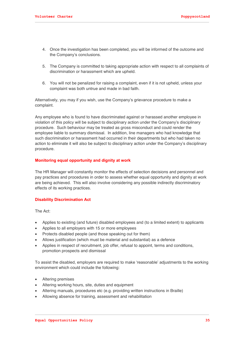- 4. Once the investigation has been completed, you will be informed of the outcome and the Company's conclusions.
- 5. The Company is committed to taking appropriate action with respect to all complaints of discrimination or harassment which are upheld.
- 6. You will not be penalized for raising a complaint, even if it is not upheld, unless your complaint was both untrue and made in bad faith.

Alternatively, you may if you wish, use the Company's grievance procedure to make a complaint.

Any employee who is found to have discriminated against or harassed another employee in violation of this policy will be subject to disciplinary action under the Company's disciplinary procedure. Such behaviour may be treated as gross misconduct and could render the employee liable to summary dismissal. In addition, line managers who had knowledge that such discrimination or harassment had occurred in their departments but who had taken no action to eliminate it will also be subject to disciplinary action under the Company's disciplinary procedure.

### **Monitoring equal opportunity and dignity at work**

The HR Manager will constantly monitor the effects of selection decisions and personnel and pay practices and procedures in order to assess whether equal opportunity and dignity at work are being achieved. This will also involve considering any possible indirectly discriminatory effects of its working practices.

### **Disability Discrimination Act**

The Act:

- Applies to existing (and future) disabled employees and (to a limited extent) to applicants
- Applies to all employers with 15 or more employees
- Protects disabled people (and those speaking out for them)
- Allows justification (which must be material and substantial) as a defence
- Applies in respect of recruitment, job offer, refusal to appoint, terms and conditions, promotion prospects and dismissal

To assist the disabled, employers are required to make 'reasonable' adjustments to the working environment which could include the following:

- Altering premises
- Altering working hours, site, duties and equipment
- Altering manuals, procedures etc (e.g. providing written instructions in Braille)
- Allowing absence for training, assessment and rehabilitation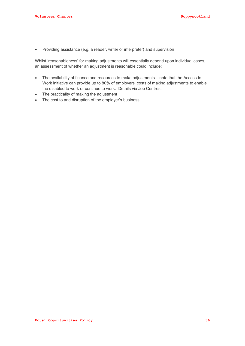Providing assistance (e.g. a reader, writer or interpreter) and supervision

Whilst 'reasonableness' for making adjustments will essentially depend upon individual cases, an assessment of whether an adjustment is reasonable could include:

- The availability of finance and resources to make adjustments note that the Access to Work initiative can provide up to 80% of employers' costs of making adjustments to enable the disabled to work or continue to work. Details via Job Centres.
- The practicality of making the adjustment
- The cost to and disruption of the employer's business.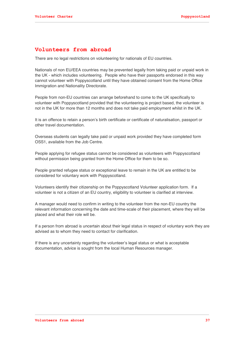# **Volunteers from abroad**

There are no legal restrictions on volunteering for nationals of EU countries.

Nationals of non EU/EEA countries may be prevented legally from taking paid or unpaid work in the UK - which includes volunteering. People who have their passports endorsed in this way cannot volunteer with Poppyscotland until they have obtained consent from the Home Office Immigration and Nationality Directorate.

People from non-EU countries can arrange beforehand to come to the UK specifically to volunteer with Poppyscotland provided that the volunteering is project based, the volunteer is not in the UK for more than 12 months and does not take paid employment whilst in the UK.

It is an offence to retain a person's birth certificate or certificate of naturalisation, passport or other travel documentation.

Overseas students can legally take paid or unpaid work provided they have completed form OSS1, available from the Job Centre.

People applying for refugee status cannot be considered as volunteers with Poppyscotland without permission being granted from the Home Office for them to be so.

People granted refugee status or exceptional leave to remain in the UK are entitled to be considered for voluntary work with Poppyscotland.

Volunteers identify their citizenship on the Poppyscotland Volunteer application form. If a volunteer is not a citizen of an EU country, eligibility to volunteer is clarified at interview.

A manager would need to confirm in writing to the volunteer from the non-EU country the relevant information concerning the date and time-scale of their placement, where they will be placed and what their role will be.

If a person from abroad is uncertain about their legal status in respect of voluntary work they are advised as to whom they need to contact for clarification.

If there is any uncertainty regarding the volunteer's legal status or what is acceptable documentation, advice is sought from the local Human Resources manager.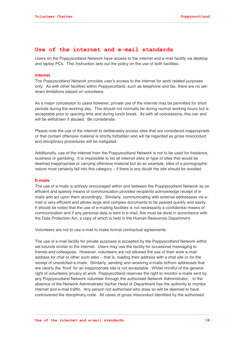## **Use of the internet and e-mail standards**

Users on the Poppyscotland Network have access to the internet and e-mail facility via desktop and laptop PCs. This Instruction sets out the policy on the use of both facilities.

#### **Internet**

The Poppyscotland Network provides user's access to the internet for work related purposes only. As with other facilities within Poppyscotland, such as telephone and fax, there are no setdown limitations placed on volunteers.

As a major concession to users however, private use of the internet may be permitted for short periods during the working day. This should not normally be during normal working hours but is acceptable prior to opening time and during lunch break. As with all concessions, this can and will be withdrawn if abused. Be considerate.

Please note the use of the internet to deliberately access sites that are considered inappropriate or that contain offensive material is strictly forbidden and will be regarded as gross misconduct and disciplinary procedures will be instigated.

Additionally, use of the internet from the Poppyscotland Network is not to be used for freelance, business or gambling. It is impossible to list all internet sites or type of sites that would be deemed inappropriate or carrying offensive material but as an example, sites of a pornographic nature most certainly fall into this category – if there is any doubt the site should be avoided.

#### **E-mails**

The use of e-mails is actively encouraged within and between the Poppyscotland Network as an efficient and speedy means of communication provided recipients acknowledge receipt of emails and act upon them accordingly. Similarly, communicating with external addressees via email is very efficient and allows large and complex documents to be passed quickly and easily. It should be noted that the use of e-mailing facilities is not necessarily a confidential means of communication and if any personal data is sent in e-mail, this must be done in accordance with the Data Protection Act, a copy of which is held in the Human Resources Department.

Volunteers are not to use e-mail to make formal contractual agreements.

The use of e-mail facility for private purposes is accepted by the Poppyscotland Network within set bounds similar to the internet. Users may use the facility for occasional messaging to friends and colleagues. However, volunteers are not allowed the use of their work e-mail address for chat or other such sites – that is, loading their address with a chat site or for the receipt of unsolicited e-mails. Similarly, sending and receiving e-mails to/from addresses that are clearly the 'front' for an inappropriate site is not acceptable. Whilst mindful of the general right of volunteers privacy at work Poppyscotland reserves the right to monitor e-mails sent by any Poppyscotland Network volunteer through the authorised Network Administrator. In the absence of the Network Administrator his/her Head of Department has the authority to monitor internet and e-mail traffic. Any person not authorised who does so will be deemed to have contravened the disciplinary code. All cases of gross misconduct identified by the authorised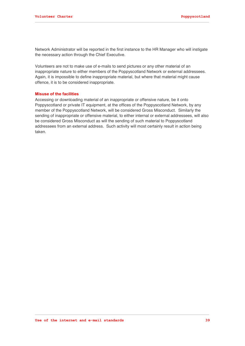Network Administrator will be reported in the first instance to the HR Manager who will instigate the necessary action through the Chief Executive.

Volunteers are not to make use of e-mails to send pictures or any other material of an inappropriate nature to either members of the Poppyscotland Network or external addressees. Again, it is impossible to define inappropriate material, but where that material might cause offence, it is to be considered inappropriate.

#### **Misuse of the facilities**

Accessing or downloading material of an inappropriate or offensive nature, be it onto Poppyscotland or private IT equipment, at the offices of the Poppyscotland Network, by any member of the Poppyscotland Network, will be considered Gross Misconduct. Similarly the sending of inappropriate or offensive material, to either internal or external addressees, will also be considered Gross Misconduct as will the sending of such material to Poppyscotland addressees from an external address. Such activity will most certainly result in action being taken.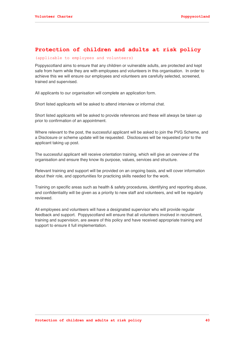## **Protection of children and adults at risk policy**

#### (applicable to employees and volunteers)

Poppyscotland aims to ensure that any children or vulnerable adults, are protected and kept safe from harm while they are with employees and volunteers in this organisation. In order to achieve this we will ensure our employees and volunteers are carefully selected, screened, trained and supervised.

All applicants to our organisation will complete an application form.

Short listed applicants will be asked to attend interview or informal chat.

Short listed applicants will be asked to provide references and these will always be taken up prior to confirmation of an appointment.

Where relevant to the post, the successful applicant will be asked to join the PVG Scheme, and a Disclosure or scheme update will be requested. Disclosures will be requested prior to the applicant taking up post.

The successful applicant will receive orientation training, which will give an overview of the organisation and ensure they know its purpose, values, services and structure.

Relevant training and support will be provided on an ongoing basis, and will cover information about their role, and opportunities for practicing skills needed for the work.

Training on specific areas such as health & safety procedures, identifying and reporting abuse, and confidentiality will be given as a priority to new staff and volunteers, and will be regularly reviewed.

All employees and volunteers will have a designated supervisor who will provide regular feedback and support. Poppyscotland will ensure that all volunteers involved in recruitment, training and supervision, are aware of this policy and have received appropriate training and support to ensure it full implementation.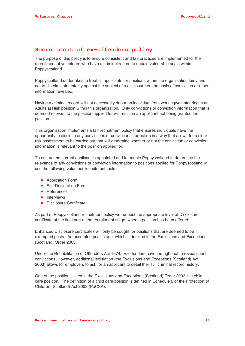# **Recruitment of ex-offenders policy**

The purpose of this policy is to ensure consistent and fair practices are implemented for the recruitment of volunteers who have a criminal record to unpaid vulnerable posts within Poppyscotland.

Poppyscotland undertakes to treat all applicants for positions within the organisation fairly and not to discriminate unfairly against the subject of a disclosure on the basis of conviction or other information revealed.

Having a criminal record will not necessarily debar an individual from working/volunteering in an Adults at Risk position within this organisation. Only convictions or conviction information that is deemed relevant to the position applied for will result in an applicant not being granted the position.

This organisation implements a fair recruitment policy that ensures individuals have the opportunity to disclose any convictions or conviction information in a way that allows for a clear risk assessment to be carried out that will determine whether or not the conviction or conviction information is relevant to the position applied for.

To ensure the correct applicant is appointed and to enable Poppyscotland to determine the relevance of any convictions or conviction information to positions applied for Poppyscotland will use the following volunteer recruitment tools:

- Application Form
- Self-Declaration Form
- References
- **•** Interviews
- Disclosure Certificate

As part of Poppyscotland recruitment policy we request the appropriate level of Disclosure certificate at the final part of the recruitment stage, when a position has been offered.

Enhanced Disclosure certificates will only be sought for positions that are deemed to be exempted posts. An exempted post is one, which is detailed in the Exclusions and Exceptions (Scotland) Order 2003.

Under the Rehabilitation of Offenders Act 1974, ex-offenders have the right not to reveal spent convictions. However, additional legislation (the Exclusions and Exceptions (Scotland) Act 2003) allows for employers to ask for an applicant to detail their full criminal record history.

One of the positions listed in the Exclusions and Exceptions (Scotland) Order 2003 is a child care position. The definition of a child care position is defined in Schedule 2 of the Protection of Children (Scotland) Act 2003 (PoCSA).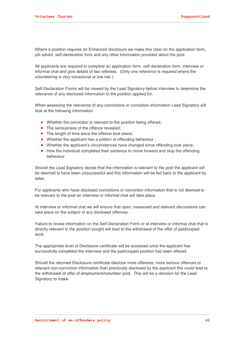Where a position requires an Enhanced disclosure we make this clear on the application form, job advert, self-declaration form and any other information provided about the post.

All applicants are required to complete an application form, self-declaration form, interview or informal chat and give details of two referees. (Only one reference is required where the volunteering is very occasional or low risk.)

Self-Declaration Forms will be viewed by the Lead Signatory before interview to determine the relevance of any disclosed information to the position applied for.

When assessing the relevance of any convictions or conviction information Lead Signatory will look at the following information:

- Whether the conviction is relevant to the position being offered;
- The seriousness of the offence revealed;
- The length of time since the offence took place:
- Whether the applicant has a pattern of offending behaviour;
- Whether the applicant's circumstances have changed since offending took place;
- How the individual completed their sentence to move forward and stop the offending behaviour

Should the Lead Signatory decide that the information is relevant to the post the applicant will be deemed to have been unsuccessful and this information will be fed back to the applicant by letter.

For applicants who have disclosed convictions or conviction information that is not deemed to be relevant to the post an interview or informal chat will take place.

At interview or informal chat we will ensure that open, measured and relevant discussions can take place on the subject of any disclosed offences.

Failure to reveal information on the Self-Declaration Form or at interview or informal chat that is directly relevant to the position sought will lead to the withdrawal of the offer of paid/unpaid work.

The appropriate level of Disclosure certificate will be accessed once the applicant has successfully completed the interview and the paid/unpaid position has been offered.

Should the returned Disclosure certificate disclose more offences, more serious offences or relevant non-conviction information than previously disclosed by the applicant this could lead to the withdrawal of offer of employment/volunteer post. This will be a decision for the Lead Signatory to make.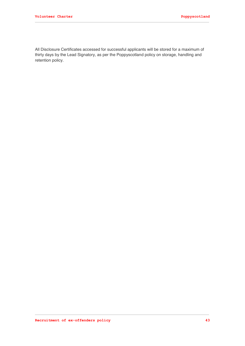All Disclosure Certificates accessed for successful applicants will be stored for a maximum of thirty days by the Lead Signatory, as per the Poppyscotland policy on storage, handling and retention policy.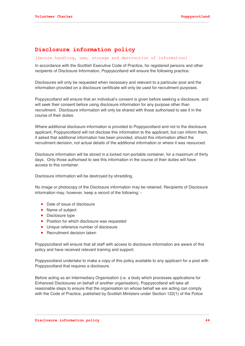# **Disclosure information policy**

### (Secure handling, use, storage and destruction of information)

In accordance with the Scottish Executive Code of Practice, for registered persons and other recipients of Disclosure Information, Poppyscotland will ensure the following practice.

Disclosures will only be requested when necessary and relevant to a particular post and the information provided on a disclosure certificate will only be used for recruitment purposes.

Poppyscotland will ensure that an individual's consent is given before seeking a disclosure, and will seek their consent before using disclosure information for any purpose other than recruitment. Disclosure information will only be shared with those authorised to see it in the course of their duties.

Where additional disclosure information is provided to Poppyscotland and not to the disclosure applicant, Poppyscotland will not disclose this information to the applicant, but can inform them, if asked that additional information has been provided, should this information affect the recruitment decision, not actual details of the additional information or where it was resourced.

Disclosure information will be stored in a locked non-portable container, for a maximum of thirty days. Only those authorised to see this information in the course of their duties will have access to this container.

Disclosure information will be destroyed by shredding.

No image or photocopy of the Disclosure information may be retained. Recipients of Disclosure information may, however, keep a record of the following: -

- Date of issue of disclosure
- Name of subject
- Disclosure type
- Position for which disclosure was requested
- Unique reference number of disclosure
- Recruitment decision taken

Poppyscotland will ensure that all staff with access to disclosure information are aware of this policy and have received relevant training and support.

Poppyscotland undertake to make a copy of this policy available to any applicant for a post with Poppyscotland that requires a disclosure.

Before acting as an Intermediary Organisation (i.e. a body which processes applications for Enhanced Disclosures on behalf of another organisation), Poppyscotland will take all reasonable steps to ensure that the organisation on whose behalf we are acting can comply with the Code of Practice, published by Scottish Ministers under Section 122(1) of the Police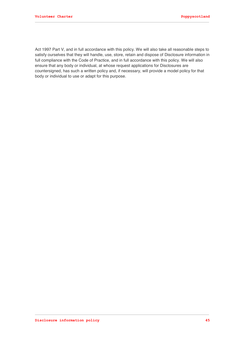Act 1997 Part V, and in full accordance with this policy. We will also take all reasonable steps to satisfy ourselves that they will handle, use, store, retain and dispose of Disclosure information in full compliance with the Code of Practice, and in full accordance with this policy. We will also ensure that any body or individual, at whose request applications for Disclosures are countersigned, has such a written policy and, if necessary, will provide a model policy for that body or individual to use or adapt for this purpose.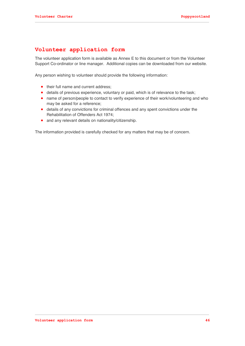# **Volunteer application form**

The volunteer application form is available as Annex E to this document or from the Volunteer Support Co-ordinator or line manager. Additional copies can be downloaded from our website.

Any person wishing to volunteer should provide the following information:

- their full name and current address;
- details of previous experience, voluntary or paid, which is of relevance to the task;
- name of person/people to contact to verify experience of their work/volunteering and who may be asked for a reference;
- details of any convictions for criminal offences and any spent convictions under the Rehabilitation of Offenders Act 1974;
- and any relevant details on nationality/citizenship.

The information provided is carefully checked for any matters that may be of concern.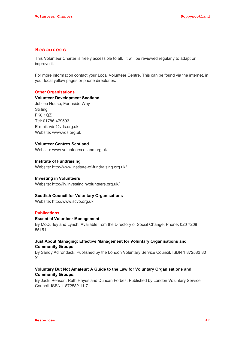## **Resources**

This Volunteer Charter is freely accessible to all. It will be reviewed regularly to adapt or improve it.

For more information contact your Local Volunteer Centre. This can be found via the internet, in your local yellow pages or phone directories.

### **Other Organisations**

### **Volunteer Development Scotland**

Jubilee House, Forthside Way **Stirling** FK8 1QZ Tel: 01786 479593 E-mail: vds@vds.org.uk Website: www.vds.org.uk

### **Volunteer Centres Scotland**

Website: www.volunteerscotland.org.uk

### **Institute of Fundraising**

Website: http://www.institute-of-fundraising.org.uk/

### **Investing in Volunteers**

Website: http://iiv.investinginvolunteers.org.uk/

### **Scottish Council for Voluntary Organisations**

Website: http://www.scvo.org.uk

### **Publications**

#### **Essential Volunteer Management**

By McCurley and Lynch. Available from the Directory of Social Change. Phone: 020 7209 55151

## **Just About Managing: Effective Management for Voluntary Organisations and Community Groups**

By Sandy Adirondack. Published by the London Voluntary Service Council. ISBN 1 872582 80 X.

### **Voluntary But Not Amateur: A Guide to the Law for Voluntary Organisations and Community Groups.**

By Jacki Reason, Ruth Hayes and Duncan Forbes. Published by London Voluntary Service Council. ISBN 1 872582 11 7.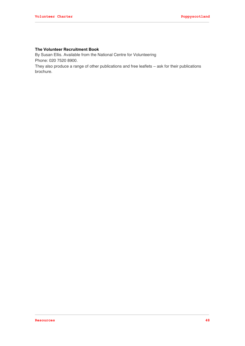# **The Volunteer Recruitment Book**

By Susan Ellis. Available from the National Centre for Volunteering Phone: 020 7520 8900.

They also produce a range of other publications and free leaflets – ask for their publications brochure.